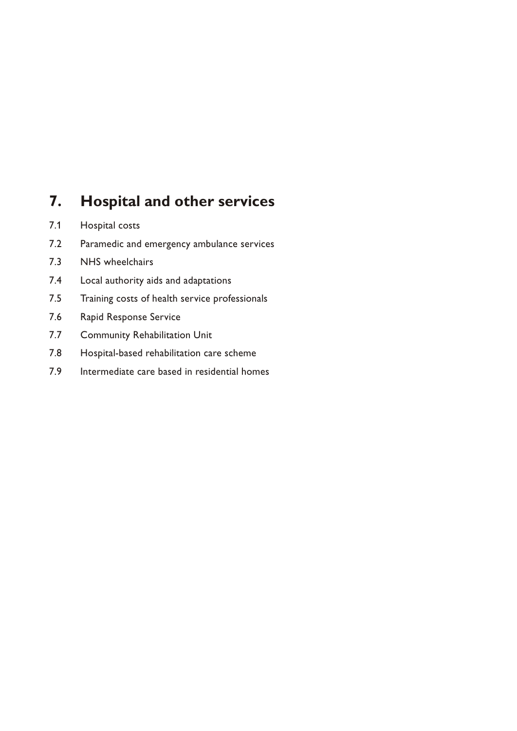# **7. Hospital and other services**

- 7.1 Hospital costs
- 7.2 Paramedic and emergency ambulance services
- 7.3 NHS wheelchairs
- 7.4 Local authority aids and adaptations
- 7.5 Training costs of health service professionals
- 7.6 Rapid Response Service
- 7.7 Community Rehabilitation Unit
- 7.8 Hospital-based rehabilitation care scheme
- 7.9 Intermediate care based in residential homes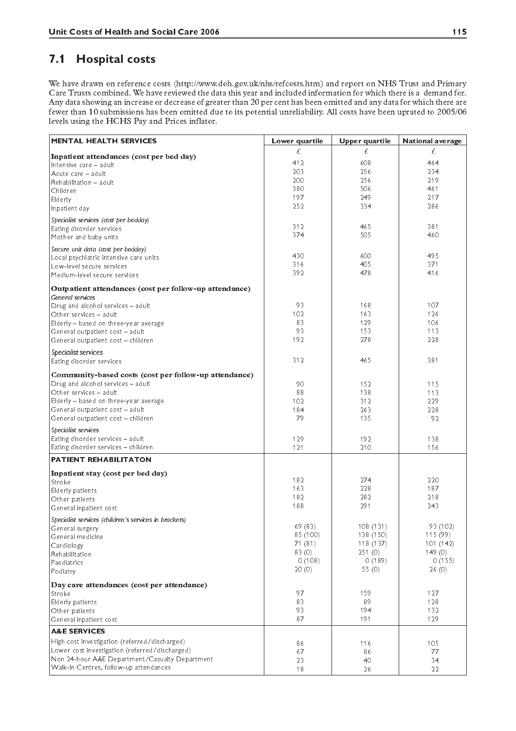#### $7.1$ **Hospital costs**

We have drawn on reference costs (http://www.doh.gov.uk/nhs/refcosts.htm) and report on NHS Trust and Primary Care Trusts combined. We have reviewed the data this year and included information for which there is a demand for. Any data showing an increase or decrease of greater than 20 per cent has been omitted and any data for which there are<br>fewer than 10 submissions has been omitted due to its potential unreliability. All costs have been upra levels using the HCHS Pay and Prices inflator.

| <b>MENTAL HEALTH SERVICES</b>                                      | Lower quartile | Upper quartile | National average |
|--------------------------------------------------------------------|----------------|----------------|------------------|
|                                                                    | £              | £.             | £.               |
| Inpatient attendances (cost per bed day)<br>Intensive care - adult | 412            | 608            | 464              |
| Acute care - adult                                                 | 203            | 256            | 234              |
| Rehabilitation - adult                                             | 200            | 256            | 219              |
| Children                                                           | 380            | 506            | 461              |
| Elderly                                                            | 197            | 249            | 217              |
| Inpatient day                                                      | 252            | 334            | 286              |
|                                                                    |                |                |                  |
| Specialist services (cost per bedday)                              | 312            | 465            | 381              |
| Eating disorder services                                           | 374            | 505            | 460              |
| Mother and baby units                                              |                |                |                  |
| Secure unit data (cost per bedday)                                 |                |                |                  |
| Local psychiatric intensive care units                             | 430            | 600            | 495              |
| Low-level secure services                                          | 316            | 405            | 371              |
| Medium-level secure services                                       | 392            | 478            | 416              |
| Outpatient attendances (cost per follow-up attendance)             |                |                |                  |
| General services                                                   |                |                |                  |
| Drug and alcohol services - adult                                  | 93             | 168            | 107              |
| Other services - adult                                             | 102            | 163            | 126              |
| Elderly - based on three-year average                              | 83             | 129            | 106              |
| General outpatient cost - adult                                    | 93             | 153            | 113              |
| General outpatient cost - children                                 | 192            | 278            | 228              |
| Specialist services                                                |                |                |                  |
| Eating disorder services                                           | 312            | 465            | 381              |
|                                                                    |                |                |                  |
| Community-based costs (cost per follow-up attendance)              |                |                |                  |
| Drug and alcohol services - adult                                  | 90             | 152            | 115              |
| Other services - adult                                             | 88             | 138            | 113              |
| Elderly - based on three-year average                              | 102            | 312            | 229              |
| General outpatient cost - adult                                    | 184            | 263            | 228              |
| General outpatient cost - children                                 | 79             | 135            | 92               |
| Specialist services                                                |                |                |                  |
| Eating disorder services - adult                                   | 129            | 192            | 138              |
| Eating disorder services - children                                | 121            | 210            | 156              |
| <b>PATIENT REHABILITATON</b>                                       |                |                |                  |
| Inpatient stay (cost per bed day)                                  |                |                |                  |
| Stroke                                                             | 182            | 274            | 220              |
| Elderly patients                                                   | 163            | 228            | 187              |
| Other patients                                                     | 182            | 282            | 218              |
| General inpatient cost                                             | 188            | 291            | 243              |
| Specialist services (children's services in brackets)              |                |                |                  |
| General surgery                                                    | 69 (83)        | 108 (131)      | 93 (102)         |
| General medicine                                                   | 85 (100)       | 138 (150)      | 115(99)          |
| Cardiology                                                         | 71(81)         | 118 (137)      | 101(142)         |
| Rehabilitation                                                     | 83(0)          | 251(0)         | 149(0)           |
| Paediatrics                                                        | 0(108)         | 0(189)         | 0(155)           |
| Podiatry                                                           | 20(0)          | 55 $(0)$       | 26(0)            |
| Day care attendances (cost per attendance)                         |                |                |                  |
| Stroke                                                             | 97             | 159            | 127              |
| Elderly patients                                                   | 83             | 89             | 128              |
| Other patients                                                     | 93             | 194            | 132              |
| General inpatient cost                                             | 87             | 191            | 129              |
| <b>A&amp;E SERVICES</b>                                            |                |                |                  |
| High cost investigation (referred/discharged)                      | 86             | 116            | 105              |
| Lower cost investigation (referred/discharged)                     | 67             | 86             | 77               |
| Non 24-hour A&E Department/Casualty Department                     | 23             | 40             | 34               |
| Walk-In Centres, follow-up attendances                             | 18             | 26             | 22               |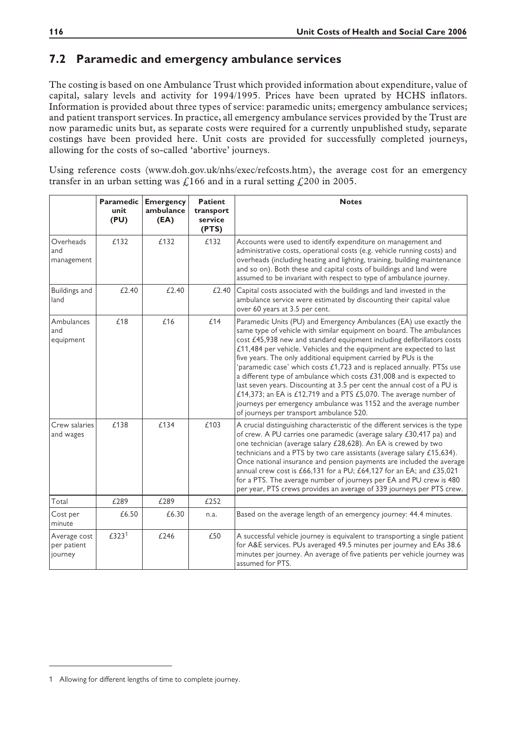#### **7.2 Paramedic and emergency ambulance services**

The costing is based on one Ambulance Trust which provided information about expenditure, value of capital, salary levels and activity for 1994/1995. Prices have been uprated by HCHS inflators. Information is provided about three types of service: paramedic units; emergency ambulance services; and patient transport services. In practice, all emergency ambulance services provided by the Trust are now paramedic units but, as separate costs were required for a currently unpublished study, separate costings have been provided here. Unit costs are provided for successfully completed journeys, allowing for the costs of so-called 'abortive' journeys.

Using reference costs (www.doh.gov.uk/nhs/exec/refcosts.htm), the average cost for an emergency transfer in an urban setting was  $\int$ 166 and in a rural setting  $\int$ 200 in 2005.

|                                        | <b>Paramedic</b><br>unit<br>(PU) | <b>Emergency</b><br>ambulance<br>(EA) | <b>Patient</b><br>transport<br>service<br>(PTS) | <b>Notes</b>                                                                                                                                                                                                                                                                                                                                                                                                                                                                                                                                                                                                                                                                                                                                                                       |
|----------------------------------------|----------------------------------|---------------------------------------|-------------------------------------------------|------------------------------------------------------------------------------------------------------------------------------------------------------------------------------------------------------------------------------------------------------------------------------------------------------------------------------------------------------------------------------------------------------------------------------------------------------------------------------------------------------------------------------------------------------------------------------------------------------------------------------------------------------------------------------------------------------------------------------------------------------------------------------------|
| Overheads<br>and<br>management         | £132                             | £132                                  | £132                                            | Accounts were used to identify expenditure on management and<br>administrative costs, operational costs (e.g. vehicle running costs) and<br>overheads (including heating and lighting, training, building maintenance<br>and so on). Both these and capital costs of buildings and land were<br>assumed to be invariant with respect to type of ambulance journey.                                                                                                                                                                                                                                                                                                                                                                                                                 |
| <b>Buildings and</b><br>land           | £2.40                            | £2.40                                 | £2.40                                           | Capital costs associated with the buildings and land invested in the<br>ambulance service were estimated by discounting their capital value<br>over 60 years at 3.5 per cent.                                                                                                                                                                                                                                                                                                                                                                                                                                                                                                                                                                                                      |
| Ambulances<br>and<br>equipment         | £18                              | £16                                   | £14                                             | Paramedic Units (PU) and Emergency Ambulances (EA) use exactly the<br>same type of vehicle with similar equipment on board. The ambulances<br>cost £45,938 new and standard equipment including defibrillators costs<br>£11,484 per vehicle. Vehicles and the equipment are expected to last<br>five years. The only additional equipment carried by PUs is the<br>'paramedic case' which costs £1,723 and is replaced annually. PTSs use<br>a different type of ambulance which costs £31,008 and is expected to<br>last seven years. Discounting at 3.5 per cent the annual cost of a PU is<br>£14,373; an EA is £12,719 and a PTS £5,070. The average number of<br>journeys per emergency ambulance was 1152 and the average number<br>of journeys per transport ambulance 520. |
| Crew salaries<br>and wages             | £138                             | £134                                  | £103                                            | A crucial distinguishing characteristic of the different services is the type<br>of crew. A PU carries one paramedic (average salary £30,417 pa) and<br>one technician (average salary £28,628). An EA is crewed by two<br>technicians and a PTS by two care assistants (average salary £15,634).<br>Once national insurance and pension payments are included the average<br>annual crew cost is £66,131 for a PU; £64,127 for an EA; and £35,021<br>for a PTS. The average number of journeys per EA and PU crew is 480<br>per year, PTS crews provides an average of 339 journeys per PTS crew.                                                                                                                                                                                 |
| Total                                  | £289                             | £289                                  | £252                                            |                                                                                                                                                                                                                                                                                                                                                                                                                                                                                                                                                                                                                                                                                                                                                                                    |
| Cost per<br>minute                     | £6.50                            | £6.30                                 | n.a.                                            | Based on the average length of an emergency journey: 44.4 minutes.                                                                                                                                                                                                                                                                                                                                                                                                                                                                                                                                                                                                                                                                                                                 |
| Average cost<br>per patient<br>journey | £3231                            | £246                                  | £50                                             | A successful vehicle journey is equivalent to transporting a single patient<br>for A&E services. PUs averaged 49.5 minutes per journey and EAs 38.6<br>minutes per journey. An average of five patients per vehicle journey was<br>assumed for PTS.                                                                                                                                                                                                                                                                                                                                                                                                                                                                                                                                |

<sup>1</sup> Allowing for different lengths of time to complete journey.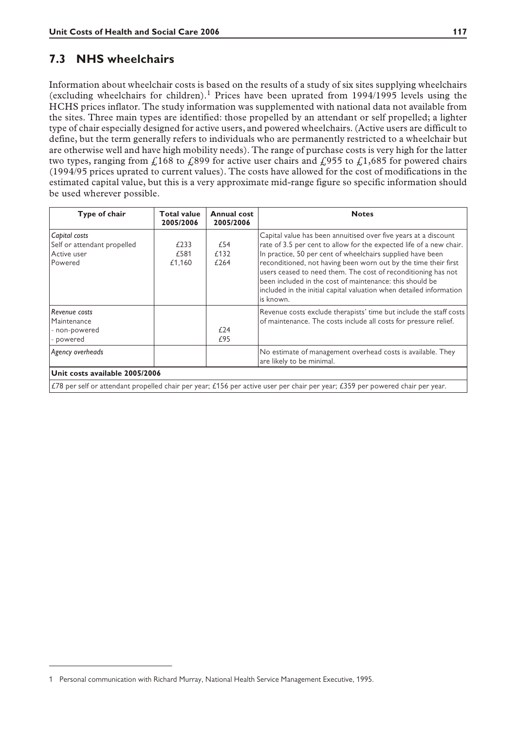#### **7.3 NHS wheelchairs**

Information about wheelchair costs is based on the results of a study of six sites supplying wheelchairs (excluding wheelchairs for children).<sup>1</sup> Prices have been uprated from 1994/1995 levels using the HCHS prices inflator. The study information was supplemented with national data not available from the sites. Three main types are identified: those propelled by an attendant or self propelled; a lighter type of chair especially designed for active users, and powered wheelchairs. (Active users are difficult to define, but the term generally refers to individuals who are permanently restricted to a wheelchair but are otherwise well and have high mobility needs). The range of purchase costs is very high for the latter two types, ranging from  $\hat{L}$ 168 to  $\hat{L}$ 899 for active user chairs and  $\hat{L}$ 955 to  $\hat{L}$ 1,685 for powered chairs (1994/95 prices uprated to current values). The costs have allowed for the cost of modifications in the estimated capital value, but this is a very approximate mid-range figure so specific information should be used wherever possible.

| Type of chair                                                                                                                 | <b>Total value</b><br>2005/2006 | Annual cost<br>2005/2006 | <b>Notes</b>                                                                                                                                                                                                                                                                                                                                                                                                                                                                             |  |  |
|-------------------------------------------------------------------------------------------------------------------------------|---------------------------------|--------------------------|------------------------------------------------------------------------------------------------------------------------------------------------------------------------------------------------------------------------------------------------------------------------------------------------------------------------------------------------------------------------------------------------------------------------------------------------------------------------------------------|--|--|
| Capital costs<br>Self or attendant propelled<br>Active user<br>Powered                                                        | £233<br>£581<br>£1,160          | £54<br>£132<br>£264      | Capital value has been annuitised over five years at a discount<br>rate of 3.5 per cent to allow for the expected life of a new chair.<br>In practice, 50 per cent of wheelchairs supplied have been<br>reconditioned, not having been worn out by the time their first<br>users ceased to need them. The cost of reconditioning has not<br>been included in the cost of maintenance: this should be<br>included in the initial capital valuation when detailed information<br>is known. |  |  |
| Revenue costs<br>Maintenance<br>- non-powered<br>- powered                                                                    |                                 | £24<br>£95               | Revenue costs exclude therapists' time but include the staff costs<br>of maintenance. The costs include all costs for pressure relief.                                                                                                                                                                                                                                                                                                                                                   |  |  |
| Agency overheads                                                                                                              |                                 |                          | No estimate of management overhead costs is available. They<br>are likely to be minimal.                                                                                                                                                                                                                                                                                                                                                                                                 |  |  |
| Unit costs available 2005/2006                                                                                                |                                 |                          |                                                                                                                                                                                                                                                                                                                                                                                                                                                                                          |  |  |
| £78 per self or attendant propelled chair per year; £156 per active user per chair per year; £359 per powered chair per year. |                                 |                          |                                                                                                                                                                                                                                                                                                                                                                                                                                                                                          |  |  |

<sup>1</sup> Personal communication with Richard Murray, National Health Service Management Executive, 1995.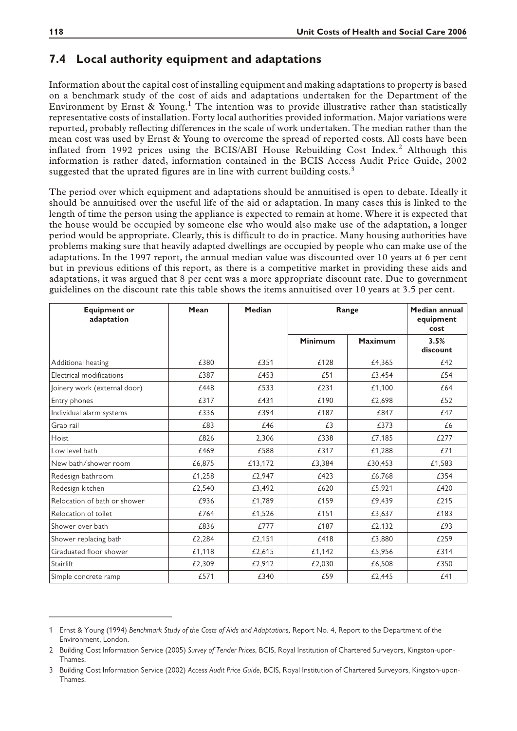#### **7.4 Local authority equipment and adaptations**

Information about the capital cost of installing equipment and making adaptations to property is based on a benchmark study of the cost of aids and adaptations undertaken for the Department of the Environment by Ernst & Young.<sup>1</sup> The intention was to provide illustrative rather than statistically representative costs of installation. Forty local authorities provided information. Major variations were reported, probably reflecting differences in the scale of work undertaken. The median rather than the mean cost was used by Ernst & Young to overcome the spread of reported costs. All costs have been inflated from 1992 prices using the BCIS/ABI House Rebuilding Cost Index.<sup>2</sup> Although this information is rather dated, information contained in the BCIS Access Audit Price Guide, 2002 suggested that the uprated figures are in line with current building  $costs$ .<sup>3</sup>

The period over which equipment and adaptations should be annuitised is open to debate. Ideally it should be annuitised over the useful life of the aid or adaptation. In many cases this is linked to the length of time the person using the appliance is expected to remain at home. Where it is expected that the house would be occupied by someone else who would also make use of the adaptation, a longer period would be appropriate. Clearly, this is difficult to do in practice. Many housing authorities have problems making sure that heavily adapted dwellings are occupied by people who can make use of the adaptations. In the 1997 report, the annual median value was discounted over 10 years at 6 per cent but in previous editions of this report, as there is a competitive market in providing these aids and adaptations, it was argued that 8 per cent was a more appropriate discount rate. Due to government guidelines on the discount rate this table shows the items annuitised over 10 years at 3.5 per cent.

| <b>Equipment or</b><br>adaptation | Mean   | Median  | Range   |                | <b>Median annual</b><br>equipment<br>cost |
|-----------------------------------|--------|---------|---------|----------------|-------------------------------------------|
|                                   |        |         | Minimum | <b>Maximum</b> | 3.5%<br>discount                          |
| Additional heating                | £380   | £351    | £128    | £4,365         | £42                                       |
| Electrical modifications          | £387   | £453    | £51     | £3,454         | £54                                       |
| Joinery work (external door)      | £448   | £533    | £231    | £1,100         | £64                                       |
| Entry phones                      | £317   | £431    | £190    | £2.698         | £52                                       |
| Individual alarm systems          | £336   | £394    | £187    | £847           | £47                                       |
| Grab rail                         | £83    | £46     | £3      | £373           | £6                                        |
| Hoist                             | £826   | 2.306   | £338    | £7,185         | £277                                      |
| Low level bath                    | £469   | £588    | £317    | £1,288         | £71                                       |
| New bath/shower room              | £6,875 | £13,172 | £3,384  | £30,453        | £1,583                                    |
| Redesign bathroom                 | £1,258 | £2.947  | £423    | £6,768         | £354                                      |
| Redesign kitchen                  | £2,540 | £3.492  | £620    | £5,921         | £420                                      |
| Relocation of bath or shower      | £936   | £1,789  | £159    | £9,439         | £215                                      |
| Relocation of toilet              | £764   | £1,526  | £151    | £3,637         | £183                                      |
| Shower over bath                  | £836   | £777    | £187    | £2,132         | £93                                       |
| Shower replacing bath             | £2,284 | £2,151  | £418    | £3,880         | £259                                      |
| Graduated floor shower            | £1,118 | £2,615  | £1,142  | £5,956         | £314                                      |
| Stairlift                         | £2,309 | £2,912  | £2,030  | £6,508         | £350                                      |
| Simple concrete ramp              | £571   | £340    | £59     | £2,445         | £41                                       |

<sup>1</sup> Ernst & Young (1994) *Benchmark Study of the Costs of Aids and Adaptations,* Report No. 4, Report to the Department of the Environment, London.

<sup>2</sup> Building Cost Information Service (2005) *Survey of Tender Prices*, BCIS, Royal Institution of Chartered Surveyors, Kingston-upon-Thames.

<sup>3</sup> Building Cost Information Service (2002) *Access Audit Price Guide*, BCIS, Royal Institution of Chartered Surveyors, Kingston-upon-Thames.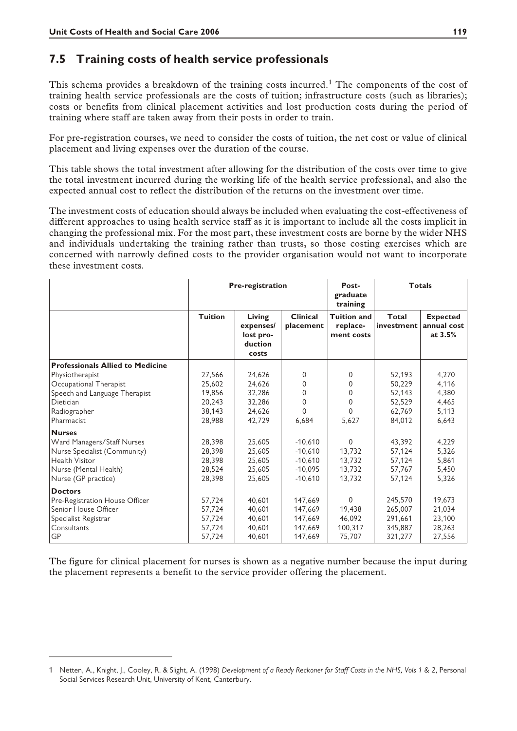#### **7.5 Training costs of health service professionals**

This schema provides a breakdown of the training costs incurred.<sup>1</sup> The components of the cost of training health service professionals are the costs of tuition; infrastructure costs (such as libraries); costs or benefits from clinical placement activities and lost production costs during the period of training where staff are taken away from their posts in order to train.

For pre-registration courses, we need to consider the costs of tuition, the net cost or value of clinical placement and living expenses over the duration of the course.

This table shows the total investment after allowing for the distribution of the costs over time to give the total investment incurred during the working life of the health service professional, and also the expected annual cost to reflect the distribution of the returns on the investment over time.

The investment costs of education should always be included when evaluating the cost-effectiveness of different approaches to using health service staff as it is important to include all the costs implicit in changing the professional mix. For the most part, these investment costs are borne by the wider NHS and individuals undertaking the training rather than trusts, so those costing exercises which are concerned with narrowly defined costs to the provider organisation would not want to incorporate these investment costs.

|                                         | <b>Pre-registration</b> |                                                      |                              | <b>Totals</b><br>Post-<br>graduate<br>training |                     |                                           |
|-----------------------------------------|-------------------------|------------------------------------------------------|------------------------------|------------------------------------------------|---------------------|-------------------------------------------|
|                                         | <b>Tuition</b>          | Living<br>expenses/<br>lost pro-<br>duction<br>costs | <b>Clinical</b><br>placement | <b>Tuition and</b><br>replace-<br>ment costs   | Total<br>investment | <b>Expected</b><br>annual cost<br>at 3.5% |
| <b>Professionals Allied to Medicine</b> |                         |                                                      |                              |                                                |                     |                                           |
| Physiotherapist                         | 27,566                  | 24,626                                               | $\Omega$                     | $\Omega$                                       | 52,193              | 4,270                                     |
| Occupational Therapist                  | 25,602                  | 24.626                                               | $\Omega$                     | $\Omega$                                       | 50,229              | 4,116                                     |
| Speech and Language Therapist           | 19,856                  | 32,286                                               | $\Omega$                     | 0                                              | 52,143              | 4,380                                     |
| Dietician                               | 20,243                  | 32,286                                               | $\Omega$                     | 0                                              | 52,529              | 4,465                                     |
| Radiographer                            | 38,143                  | 24,626                                               | 0                            | 0                                              | 62,769              | 5,113                                     |
| Pharmacist                              | 28,988                  | 42,729                                               | 6,684                        | 5,627                                          | 84,012              | 6,643                                     |
| <b>Nurses</b>                           |                         |                                                      |                              |                                                |                     |                                           |
| Ward Managers/Staff Nurses              | 28,398                  | 25,605                                               | $-10,610$                    | $\Omega$                                       | 43.392              | 4,229                                     |
| Nurse Specialist (Community)            | 28,398                  | 25,605                                               | $-10.610$                    | 13.732                                         | 57,124              | 5,326                                     |
| <b>Health Visitor</b>                   | 28,398                  | 25,605                                               | $-10,610$                    | 13,732                                         | 57,124              | 5,861                                     |
| Nurse (Mental Health)                   | 28,524                  | 25.605                                               | $-10.095$                    | 13.732                                         | 57,767              | 5,450                                     |
| Nurse (GP practice)                     | 28,398                  | 25,605                                               | $-10.610$                    | 13.732                                         | 57,124              | 5,326                                     |
| <b>Doctors</b>                          |                         |                                                      |                              |                                                |                     |                                           |
| Pre-Registration House Officer          | 57.724                  | 40.601                                               | 147.669                      | $\Omega$                                       | 245.570             | 19,673                                    |
| Senior House Officer                    | 57,724                  | 40.601                                               | 147.669                      | 19.438                                         | 265,007             | 21,034                                    |
| Specialist Registrar                    | 57,724                  | 40,601                                               | 147.669                      | 46.092                                         | 291,661             | 23,100                                    |
| Consultants                             | 57,724                  | 40,601                                               | 147,669                      | 100,317                                        | 345,887             | 28,263                                    |
| GP                                      | 57,724                  | 40,601                                               | 147,669                      | 75,707                                         | 321,277             | 27,556                                    |

The figure for clinical placement for nurses is shown as a negative number because the input during the placement represents a benefit to the service provider offering the placement.

<sup>1</sup> Netten, A., Knight, J., Cooley, R. & Slight, A. (1998) *Development of a Ready Reckoner for Staff Costs in the NHS, Vols 1 & 2*, Personal Social Services Research Unit, University of Kent, Canterbury.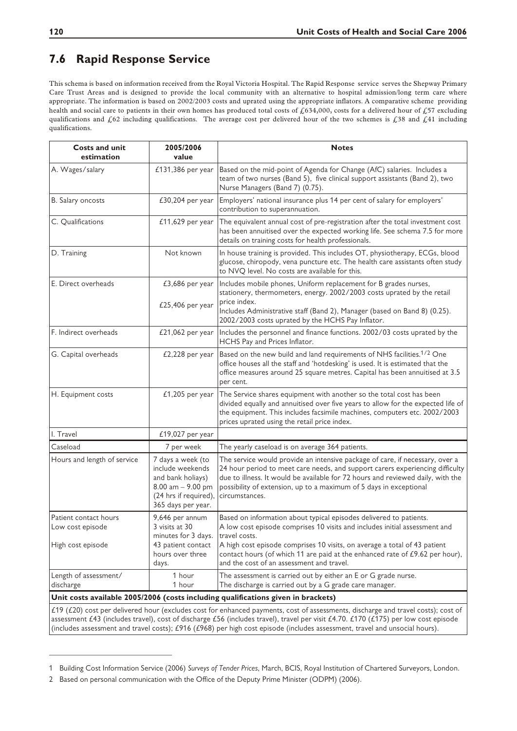## **7.6 Rapid Response Service**

This schema is based on information received from the Royal Victoria Hospital. The Rapid Response service serves the Shepway Primary Care Trust Areas and is designed to provide the local community with an alternative to hospital admission/long term care where appropriate. The information is based on 2002/2003 costs and uprated using the appropriate inflators. A comparative scheme providing health and social care to patients in their own homes has produced total costs of £634,000, costs for a delivered hour of £57 excluding qualifications and  $\&62$  including qualifications. The average cost per delivered hour of the two schemes is  $\&38$  and  $\&41$  including qualifications.

| <b>Costs and unit</b><br>estimation                            | 2005/2006<br>value                                                                                                                 | <b>Notes</b>                                                                                                                                                                                                                                                                                                                                                                |  |
|----------------------------------------------------------------|------------------------------------------------------------------------------------------------------------------------------------|-----------------------------------------------------------------------------------------------------------------------------------------------------------------------------------------------------------------------------------------------------------------------------------------------------------------------------------------------------------------------------|--|
| A. Wages/salary                                                | £131,386 per year                                                                                                                  | Based on the mid-point of Agenda for Change (AfC) salaries. Includes a<br>team of two nurses (Band 5), five clinical support assistants (Band 2), two<br>Nurse Managers (Band 7) (0.75).                                                                                                                                                                                    |  |
| B. Salary oncosts                                              | £30,204 per year                                                                                                                   | Employers' national insurance plus 14 per cent of salary for employers'<br>contribution to superannuation.                                                                                                                                                                                                                                                                  |  |
| C. Qualifications                                              | $£11,629$ per year                                                                                                                 | The equivalent annual cost of pre-registration after the total investment cost<br>has been annuitised over the expected working life. See schema 7.5 for more<br>details on training costs for health professionals.                                                                                                                                                        |  |
| D. Training                                                    | Not known                                                                                                                          | In house training is provided. This includes OT, physiotherapy, ECGs, blood<br>glucose, chiropody, vena puncture etc. The health care assistants often study<br>to NVQ level. No costs are available for this.                                                                                                                                                              |  |
| E. Direct overheads                                            | $£3,686$ per year<br>£25,406 per year                                                                                              | Includes mobile phones, Uniform replacement for B grades nurses,<br>stationery, thermometers, energy. 2002/2003 costs uprated by the retail<br>price index.<br>Includes Administrative staff (Band 2), Manager (based on Band 8) (0.25).<br>2002/2003 costs uprated by the HCHS Pay Inflator.                                                                               |  |
| F. Indirect overheads                                          | $£21,062$ per year                                                                                                                 | Includes the personnel and finance functions. 2002/03 costs uprated by the<br>HCHS Pay and Prices Inflator.                                                                                                                                                                                                                                                                 |  |
| G. Capital overheads                                           | £2,228 per year                                                                                                                    | Based on the new build and land requirements of NHS facilities. <sup>1/2</sup> One<br>office houses all the staff and 'hotdesking' is used. It is estimated that the<br>office measures around 25 square metres. Capital has been annuitised at 3.5<br>per cent.                                                                                                            |  |
| H. Equipment costs                                             | $£1,205$ per year                                                                                                                  | The Service shares equipment with another so the total cost has been<br>divided equally and annuitised over five years to allow for the expected life of<br>the equipment. This includes facsimile machines, computers etc. 2002/2003<br>prices uprated using the retail price index.                                                                                       |  |
| I. Travel                                                      | £19,027 per year                                                                                                                   |                                                                                                                                                                                                                                                                                                                                                                             |  |
| Caseload                                                       | 7 per week                                                                                                                         | The yearly caseload is on average 364 patients.                                                                                                                                                                                                                                                                                                                             |  |
| Hours and length of service                                    | 7 days a week (to<br>include weekends<br>and bank holiays)<br>$8.00$ am $- 9.00$ pm<br>(24 hrs if required),<br>365 days per year. | The service would provide an intensive package of care, if necessary, over a<br>24 hour period to meet care needs, and support carers experiencing difficulty<br>due to illness. It would be available for 72 hours and reviewed daily, with the<br>possibility of extension, up to a maximum of 5 days in exceptional<br>circumstances.                                    |  |
| Patient contact hours<br>Low cost episode<br>High cost episode | 9,646 per annum<br>3 visits at 30<br>minutes for 3 days.<br>43 patient contact<br>hours over three<br>days.                        | Based on information about typical episodes delivered to patients.<br>A low cost episode comprises 10 visits and includes initial assessment and<br>travel costs.<br>A high cost episode comprises 10 visits, on average a total of 43 patient<br>contact hours (of which 11 are paid at the enhanced rate of £9.62 per hour),<br>and the cost of an assessment and travel. |  |
| Length of assessment/<br>discharge                             | 1 hour<br>1 hour                                                                                                                   | The assessment is carried out by either an E or G grade nurse.<br>The discharge is carried out by a G grade care manager.<br>Unit costs available 2005/2006 (costs including qualifications given in brackets)                                                                                                                                                              |  |

£19 (£20) cost per delivered hour (excludes cost for enhanced payments, cost of assessments, discharge and travel costs); cost of assessment £43 (includes travel), cost of discharge £56 (includes travel), travel per visit £4.70. £170 (£175) per low cost episode (includes assessment and travel costs); £916 (£968) per high cost episode (includes assessment, travel and unsocial hours).

<sup>1</sup> Building Cost Information Service (2006) *Surveys of Tender Prices*, March, BCIS, Royal Institution of Chartered Surveyors, London.

<sup>2</sup> Based on personal communication with the Office of the Deputy Prime Minister (ODPM) (2006).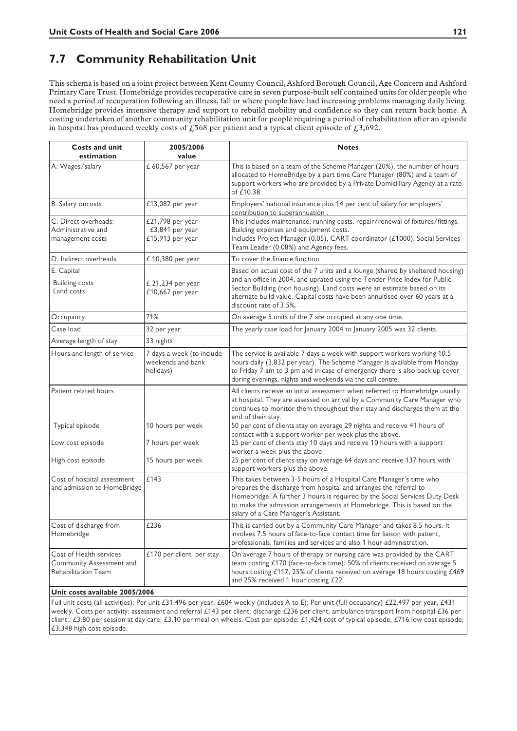### **7.7 Community Rehabilitation Unit**

This schema is based on a joint project between Kent County Council, Ashford Borough Council, Age Concern and Ashford Primary Care Trust. Homebridge provides recuperative care in seven purpose-built self contained units for older people who need a period of recuperation following an illness, fall or where people have had increasing problems managing daily living. Homebridge provides intensive therapy and support to rebuild mobility and confidence so they can return back home. A costing undertaken of another community rehabilitation unit for people requiring a period of rehabilitation after an episode in hospital has produced weekly costs of  $\mathcal{L}568$  per patient and a typical client episode of  $\mathcal{L}3,692$ .

| <b>Costs and unit</b>                                                      | 2005/2006                                                   | <b>Notes</b>                                                                                                                                                                                                                                                                                                                                      |
|----------------------------------------------------------------------------|-------------------------------------------------------------|---------------------------------------------------------------------------------------------------------------------------------------------------------------------------------------------------------------------------------------------------------------------------------------------------------------------------------------------------|
| estimation                                                                 | value                                                       |                                                                                                                                                                                                                                                                                                                                                   |
| A. Wages/salary                                                            | £ 60,567 per year                                           | This is based on a team of the Scheme Manager (20%), the number of hours<br>allocated to HomeBridge by a part time Care Manager (80%) and a team of<br>support workers who are provided by a Private Domicilliary Agency at a rate<br>of £10.38.                                                                                                  |
| B. Salary oncosts                                                          | £13,082 per year                                            | Employers' national insurance plus 14 per cent of salary for employers'<br>contribution to superannuation                                                                                                                                                                                                                                         |
| C. Direct overheads:<br>Administrative and<br>management costs             | £21,798 per year<br>£3,841 per year<br>£15,913 per year     | This includes maintenance, running costs, repair/renewal of fixtures/fittings.<br>Building expenses and equipment costs.<br>Includes Project Manager (0.05), CART coordinator (£1000), Social Services<br>Team Leader (0.08%) and Agency fees.                                                                                                    |
| D. Indirect overheads                                                      | £ 10,380 per year                                           | To cover the finance function.                                                                                                                                                                                                                                                                                                                    |
| E. Capital<br><b>Building costs</b><br>Land costs                          | £ 21,234 per year<br>£10,667 per year                       | Based on actual cost of the 7 units and a lounge (shared by sheltered housing)<br>and an office in 2004, and uprated using the Tender Price Index for Public<br>Sector Building (non housing). Land costs were an estimate based on its<br>alternate build value. Capital costs have been annuitised over 60 years at a<br>discount rate of 3.5%. |
| Occupancy                                                                  | 71%                                                         | On average 5 units of the 7 are occupied at any one time.                                                                                                                                                                                                                                                                                         |
| Case load                                                                  | 32 per year                                                 | The yearly case load for January 2004 to January 2005 was 32 clients.                                                                                                                                                                                                                                                                             |
| Average length of stay                                                     | 33 nights                                                   |                                                                                                                                                                                                                                                                                                                                                   |
| Hours and length of service                                                | 7 days a week (to include<br>weekends and bank<br>holidays) | The service is available 7 days a week with support workers working 10.5<br>hours daily (3,832 per year). The Scheme Manager is available from Monday<br>to Friday 7 am to 3 pm and in case of emergency there is also back up cover<br>during evenings, nights and weekends via the call centre.                                                 |
| Patient related hours                                                      |                                                             | All clients receive an initial assessment when referred to Homebridge usually<br>at hospital. They are assessed on arrival by a Community Care Manager who<br>continues to monitor them throughout their stay and discharges them at the<br>end of their stay.                                                                                    |
| Typical episode                                                            | 10 hours per week                                           | 50 per cent of clients stay on average 29 nights and receive 41 hours of<br>contact with a support worker per week plus the above.                                                                                                                                                                                                                |
| Low cost episode                                                           | 7 hours per week                                            | 25 per cent of clients stay 10 days and receive 10 hours with a support<br>worker a week plus the above                                                                                                                                                                                                                                           |
| High cost episode                                                          | 15 hours per week                                           | 25 per cent of clients stay on average 64 days and receive 137 hours with<br>support workers plus the above.                                                                                                                                                                                                                                      |
| Cost of hospital assessment<br>and admission to HomeBridge                 | £143                                                        | This takes between 3-5 hours of a Hospital Care Manager's time who<br>prepares the discharge from hospital and arranges the referral to<br>Homebridge. A further 3 hours is required by the Social Services Duty Desk<br>to make the admission arrangements at Homebridge. This is based on the<br>salary of a Care Manager's Assistant.          |
| Cost of discharge from<br>Homebridge                                       | £236                                                        | This is carried out by a Community Care Manager and takes 8.5 hours. It<br>involves 7.5 hours of face-to-face contact time for liaison with patient,<br>professionals, families and services and also 1 hour administration.                                                                                                                      |
| Cost of Health services<br>Community Assessment and<br>Rehabilitation Team | £170 per client per stay                                    | On average 7 hours of therapy or nursing care was provided by the CART<br>team costing £170 (face-to-face time). 50% of clients received on average 5<br>hours costing £117, 25% of clients received on average 18 hours costing £469<br>and 25% received 1 hour costing £22.                                                                     |
| Unit costs available 2005/2006                                             |                                                             |                                                                                                                                                                                                                                                                                                                                                   |

Full unit costs (all activities): Per unit £31,496 per year, £604 weekly (includes A to E); Per unit (full occupancy) £22,497 per year, £431 weekly. Costs per activity: assessment and referral £143 per client; discharge £236 per client, ambulance transport from hospital £36 per client;. £3.80 per session at day care, £3.10 per meal on wheels. Cost per episode: £1,424 cost of typical episode, £716 low cost episode; £3,348 high cost episode.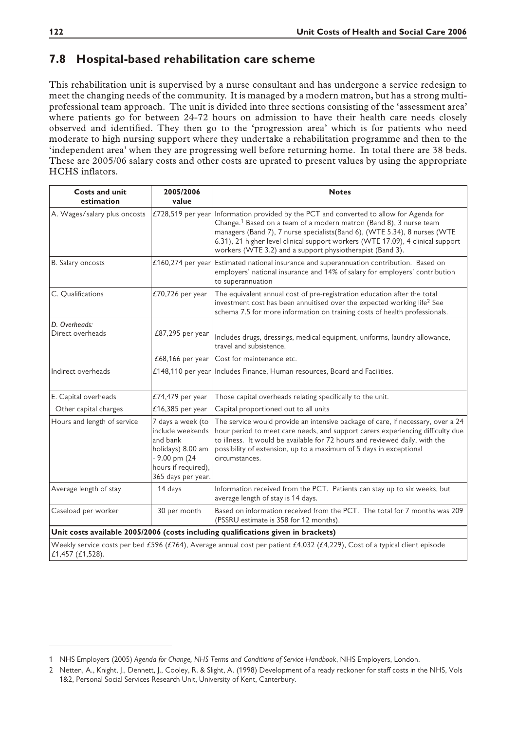#### **7.8 Hospital-based rehabilitation care scheme**

This rehabilitation unit is supervised by a nurse consultant and has undergone a service redesign to meet the changing needs of the community. It is managed by a modern matron, but has a strong multiprofessional team approach. The unit is divided into three sections consisting of the 'assessment area' where patients go for between 24-72 hours on admission to have their health care needs closely observed and identified. They then go to the 'progression area' which is for patients who need moderate to high nursing support where they undertake a rehabilitation programme and then to the 'independent area' when they are progressing well before returning home. In total there are 38 beds. These are 2005/06 salary costs and other costs are uprated to present values by using the appropriate HCHS inflators.

| <b>Costs and unit</b><br>estimation | 2005/2006<br>value                                                                                                                   | <b>Notes</b>                                                                                                                                                                                                                                                                                                                                                                          |
|-------------------------------------|--------------------------------------------------------------------------------------------------------------------------------------|---------------------------------------------------------------------------------------------------------------------------------------------------------------------------------------------------------------------------------------------------------------------------------------------------------------------------------------------------------------------------------------|
| A. Wages/salary plus oncosts        | £728,519 per year                                                                                                                    | Information provided by the PCT and converted to allow for Agenda for<br>Change. <sup>1</sup> Based on a team of a modern matron (Band 8), 3 nurse team<br>managers (Band 7), 7 nurse specialists (Band 6), (WTE 5.34), 8 nurses (WTE<br>6.31), 21 higher level clinical support workers (WTE 17.09), 4 clinical support<br>workers (WTE 3.2) and a support physiotherapist (Band 3). |
| B. Salary oncosts                   | £160,274 per year                                                                                                                    | Estimated national insurance and superannuation contribution. Based on<br>employers' national insurance and 14% of salary for employers' contribution<br>to superannuation                                                                                                                                                                                                            |
| C. Qualifications                   | £70,726 per year                                                                                                                     | The equivalent annual cost of pre-registration education after the total<br>investment cost has been annuitised over the expected working life <sup>2</sup> See<br>schema 7.5 for more information on training costs of health professionals.                                                                                                                                         |
| D. Overheads:<br>Direct overheads   | £87,295 per year                                                                                                                     | Includes drugs, dressings, medical equipment, uniforms, laundry allowance,<br>travel and subsistence.                                                                                                                                                                                                                                                                                 |
|                                     | £68,166 per year                                                                                                                     | Cost for maintenance etc.                                                                                                                                                                                                                                                                                                                                                             |
| Indirect overheads                  |                                                                                                                                      | £148,110 per year Includes Finance, Human resources, Board and Facilities.                                                                                                                                                                                                                                                                                                            |
| E. Capital overheads                | £74,479 per year                                                                                                                     | Those capital overheads relating specifically to the unit.                                                                                                                                                                                                                                                                                                                            |
| Other capital charges               | £16,385 per year                                                                                                                     | Capital proportioned out to all units                                                                                                                                                                                                                                                                                                                                                 |
| Hours and length of service         | 7 days a week (to<br>include weekends<br>and bank<br>holidays) 8.00 am<br>- 9.00 pm (24<br>hours if required),<br>365 days per year. | The service would provide an intensive package of care, if necessary, over a 24<br>hour period to meet care needs, and support carers experiencing difficulty due<br>to illness. It would be available for 72 hours and reviewed daily, with the<br>possibility of extension, up to a maximum of 5 days in exceptional<br>circumstances.                                              |
| Average length of stay              | 14 days                                                                                                                              | Information received from the PCT. Patients can stay up to six weeks, but<br>average length of stay is 14 days.                                                                                                                                                                                                                                                                       |
| Caseload per worker                 | 30 per month                                                                                                                         | Based on information received from the PCT. The total for 7 months was 209<br>(PSSRU estimate is 358 for 12 months).                                                                                                                                                                                                                                                                  |
|                                     |                                                                                                                                      | Unit costs available 2005/2006 (costs including qualifications given in brackets)                                                                                                                                                                                                                                                                                                     |
| £1,457 (£1,528).                    |                                                                                                                                      | Weekly service costs per bed £596 (£764), Average annual cost per patient £4,032 (£4,229), Cost of a typical client episode                                                                                                                                                                                                                                                           |

<sup>1</sup> NHS Employers (2005) *Agenda for Change, NHS Terms and Conditions of Service Handbook*, NHS Employers, London.

<sup>2</sup> Netten, A., Knight, J., Dennett, J., Cooley, R. & Slight, A. (1998) Development of a ready reckoner for staff costs in the NHS, Vols 1&2, Personal Social Services Research Unit, University of Kent, Canterbury.